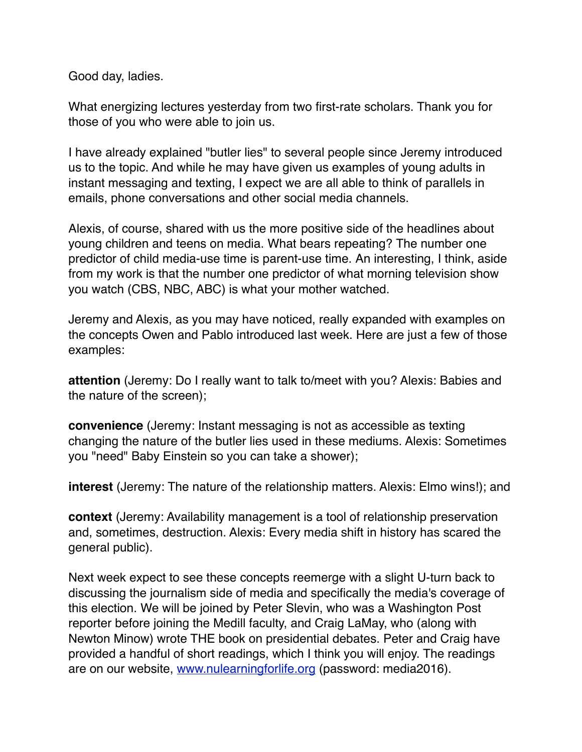Good day, ladies.

What energizing lectures yesterday from two first-rate scholars. Thank you for those of you who were able to join us.

I have already explained "butler lies" to several people since Jeremy introduced us to the topic. And while he may have given us examples of young adults in instant messaging and texting, I expect we are all able to think of parallels in emails, phone conversations and other social media channels.

Alexis, of course, shared with us the more positive side of the headlines about young children and teens on media. What bears repeating? The number one predictor of child media-use time is parent-use time. An interesting, I think, aside from my work is that the number one predictor of what morning television show you watch (CBS, NBC, ABC) is what your mother watched.

Jeremy and Alexis, as you may have noticed, really expanded with examples on the concepts Owen and Pablo introduced last week. Here are just a few of those examples:

**attention** (Jeremy: Do I really want to talk to/meet with you? Alexis: Babies and the nature of the screen);

**convenience** (Jeremy: Instant messaging is not as accessible as texting changing the nature of the butler lies used in these mediums. Alexis: Sometimes you "need" Baby Einstein so you can take a shower);

**interest** (Jeremy: The nature of the relationship matters. Alexis: Elmo wins!); and

**context** (Jeremy: Availability management is a tool of relationship preservation and, sometimes, destruction. Alexis: Every media shift in history has scared the general public).

Next week expect to see these concepts reemerge with a slight U-turn back to discussing the journalism side of media and specifically the media's coverage of this election. We will be joined by Peter Slevin, who was a Washington Post reporter before joining the Medill faculty, and Craig LaMay, who (along with Newton Minow) wrote THE book on presidential debates. Peter and Craig have provided a handful of short readings, which I think you will enjoy. The readings are on our website, [www.nulearningforlife.org](https://urldefense.proofpoint.com/v2/url?u=http-3A__www.nulearningforlife.org&d=CwMFaQ&c=yHlS04HhBraes5BQ9ueu5zKhE7rtNXt_d012z2PA6ws&r=LK49e-jju6XVL9_dPOSPUSVHPC3sNGxa5eymYyZ3oXQ&m=GWJPeD1KpN66qdYnUKhm19EbkdqXiI7B9FH3ShXNiVE&s=dYCZc52QINXTQOK_-rnTftUhXbUIWhXmRReDyyjVyhs&e=) (password: media2016).